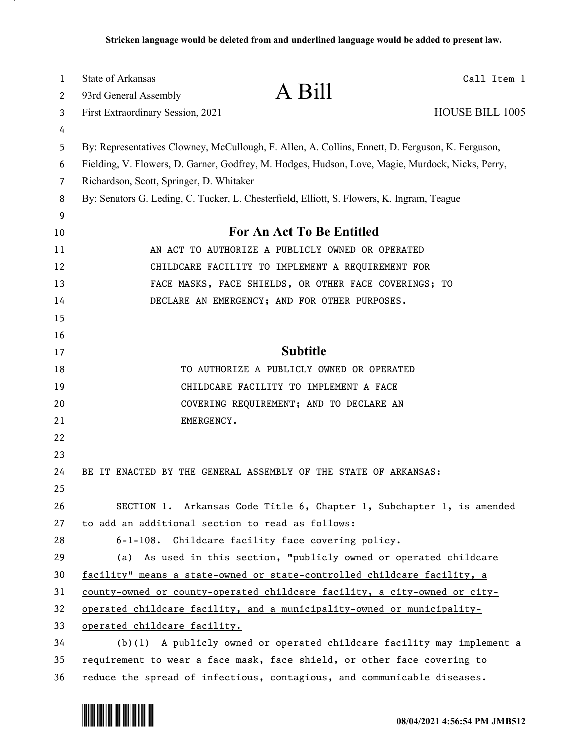| 1  | <b>State of Arkansas</b>                                                                         |                                                                        | Call Item 1            |  |
|----|--------------------------------------------------------------------------------------------------|------------------------------------------------------------------------|------------------------|--|
| 2  | 93rd General Assembly                                                                            | A Bill                                                                 |                        |  |
| 3  | First Extraordinary Session, 2021                                                                |                                                                        | <b>HOUSE BILL 1005</b> |  |
| 4  |                                                                                                  |                                                                        |                        |  |
| 5  | By: Representatives Clowney, McCullough, F. Allen, A. Collins, Ennett, D. Ferguson, K. Ferguson, |                                                                        |                        |  |
| 6  | Fielding, V. Flowers, D. Garner, Godfrey, M. Hodges, Hudson, Love, Magie, Murdock, Nicks, Perry, |                                                                        |                        |  |
| 7  | Richardson, Scott, Springer, D. Whitaker                                                         |                                                                        |                        |  |
| 8  | By: Senators G. Leding, C. Tucker, L. Chesterfield, Elliott, S. Flowers, K. Ingram, Teague       |                                                                        |                        |  |
| 9  |                                                                                                  |                                                                        |                        |  |
| 10 | For An Act To Be Entitled                                                                        |                                                                        |                        |  |
| 11 |                                                                                                  | AN ACT TO AUTHORIZE A PUBLICLY OWNED OR OPERATED                       |                        |  |
| 12 | CHILDCARE FACILITY TO IMPLEMENT A REQUIREMENT FOR                                                |                                                                        |                        |  |
| 13 |                                                                                                  | FACE MASKS, FACE SHIELDS, OR OTHER FACE COVERINGS; TO                  |                        |  |
| 14 | DECLARE AN EMERGENCY; AND FOR OTHER PURPOSES.                                                    |                                                                        |                        |  |
| 15 |                                                                                                  |                                                                        |                        |  |
| 16 |                                                                                                  |                                                                        |                        |  |
| 17 | <b>Subtitle</b>                                                                                  |                                                                        |                        |  |
| 18 |                                                                                                  | TO AUTHORIZE A PUBLICLY OWNED OR OPERATED                              |                        |  |
| 19 |                                                                                                  | CHILDCARE FACILITY TO IMPLEMENT A FACE                                 |                        |  |
| 20 |                                                                                                  | COVERING REQUIREMENT; AND TO DECLARE AN                                |                        |  |
| 21 | EMERGENCY.                                                                                       |                                                                        |                        |  |
| 22 |                                                                                                  |                                                                        |                        |  |
| 23 |                                                                                                  |                                                                        |                        |  |
| 24 | BE IT ENACTED BY THE GENERAL ASSEMBLY OF THE STATE OF ARKANSAS:                                  |                                                                        |                        |  |
| 25 |                                                                                                  |                                                                        |                        |  |
| 26 |                                                                                                  | SECTION 1. Arkansas Code Title 6, Chapter 1, Subchapter 1, is amended  |                        |  |
| 27 | to add an additional section to read as follows:                                                 |                                                                        |                        |  |
| 28 |                                                                                                  | 6-1-108. Childcare facility face covering policy.                      |                        |  |
| 29 |                                                                                                  | (a) As used in this section, "publicly owned or operated childcare     |                        |  |
| 30 | facility" means a state-owned or state-controlled childcare facility, a                          |                                                                        |                        |  |
| 31 | <u>county-owned or county-operated childcare facility, a city-owned or city-</u>                 |                                                                        |                        |  |
| 32 | operated childcare facility, and a municipality-owned or municipality-                           |                                                                        |                        |  |
| 33 | operated childcare facility.                                                                     |                                                                        |                        |  |
| 34 |                                                                                                  | (b)(1) A publicly owned or operated childcare facility may implement a |                        |  |
| 35 | requirement to wear a face mask, face shield, or other face covering to                          |                                                                        |                        |  |
| 36 | reduce the spread of infectious, contagious, and communicable diseases.                          |                                                                        |                        |  |